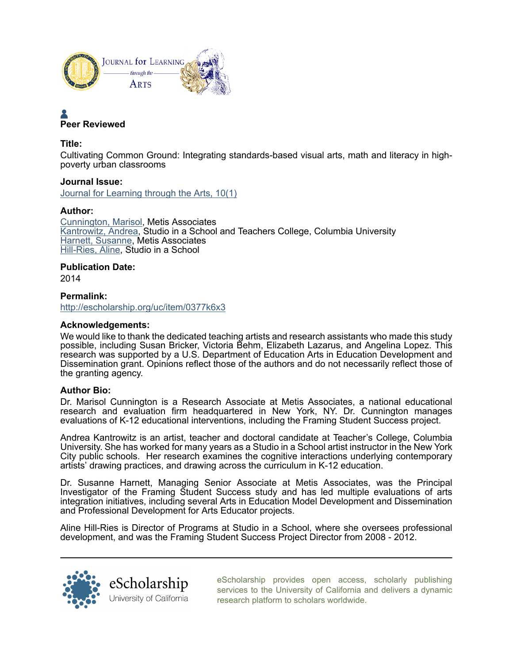



### Title:

Cultivating Common Ground: Integrating standards-based visual arts, math and literacy in highpoverty urban classrooms

Journal Issue: [Journal for Learning through the Arts, 10\(1\)](http://escholarship.org/uc/class_lta?volume=10;issue=1)

### Author:

[Cunnington, Marisol,](http://escholarship.org/uc/search?creator=Cunnington%2C%20Marisol) Metis Associates [Kantrowitz, Andrea,](http://escholarship.org/uc/search?creator=Kantrowitz%2C%20Andrea) Studio in a School and Teachers College, Columbia University [Harnett, Susanne,](http://escholarship.org/uc/search?creator=Harnett%2C%20Susanne) Metis Associates [Hill-Ries, Aline](http://escholarship.org/uc/search?creator=Hill-Ries%2C%20Aline), Studio in a School

## Publication Date:

2014

### Permalink:

<http://escholarship.org/uc/item/0377k6x3>

### Acknowledgements:

We would like to thank the dedicated teaching artists and research assistants who made this study possible, including Susan Bricker, Victoria Behm, Elizabeth Lazarus, and Angelina Lopez. This research was supported by a U.S. Department of Education Arts in Education Development and Dissemination grant. Opinions reflect those of the authors and do not necessarily reflect those of the granting agency.

### Author Bio:

Dr. Marisol Cunnington is a Research Associate at Metis Associates, a national educational research and evaluation firm headquartered in New York, NY. Dr. Cunnington manages evaluations of K-12 educational interventions, including the Framing Student Success project.

Andrea Kantrowitz is an artist, teacher and doctoral candidate at Teacher's College, Columbia University. She has worked for many years as a Studio in a School artist instructor in the New York City public schools. Her research examines the cognitive interactions underlying contemporary artists' drawing practices, and drawing across the curriculum in K-12 education.

Dr. Susanne Harnett, Managing Senior Associate at Metis Associates, was the Principal Investigator of the Framing Student Success study and has led multiple evaluations of arts integration initiatives, including several Arts in Education Model Development and Dissemination and Professional Development for Arts Educator projects.

Aline Hill-Ries is Director of Programs at Studio in a School, where she oversees professional development, and was the Framing Student Success Project Director from 2008 - 2012.



[eScholarship provides open access, scholarly publishing](http://escholarship.org) [services to the University of California and delivers a dynamic](http://escholarship.org) [research platform to scholars worldwide.](http://escholarship.org)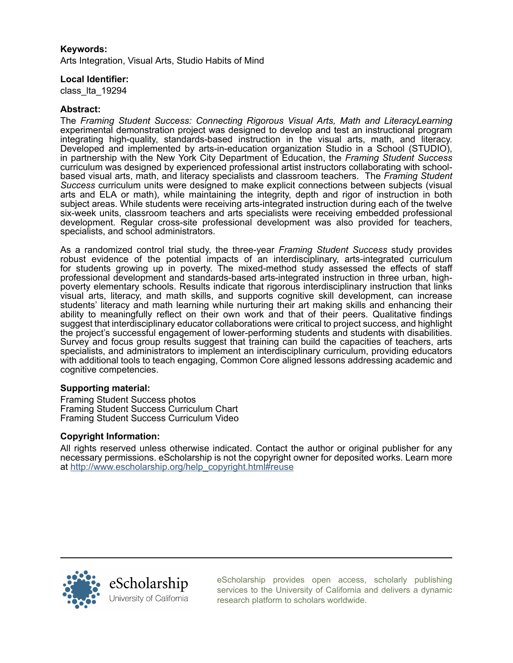### Keywords:

Arts Integration, Visual Arts, Studio Habits of Mind

#### Local Identifier:

class\_lta\_19294

#### Abstract:

The *Framing Student Success: Connecting Rigorous Visual Arts, Math and LiteracyLearning* experimental demonstration project was designed to develop and test an instructional program integrating high-quality, standards-based instruction in the visual arts, math, and literacy. Developed and implemented by arts-in-education organization Studio in a School (STUDIO), in partnership with the New York City Department of Education, the *Framing Student Success* curriculum was designed by experienced professional artist instructors collaborating with schoolbased visual arts, math, and literacy specialists and classroom teachers. The *Framing Student Success* curriculum units were designed to make explicit connections between subjects (visual arts and ELA or math), while maintaining the integrity, depth and rigor of instruction in both subject areas. While students were receiving arts-integrated instruction during each of the twelve six-week units, classroom teachers and arts specialists were receiving embedded professional development. Regular cross-site professional development was also provided for teachers, specialists, and school administrators.

As a randomized control trial study, the three-year *Framing Student Success* study provides robust evidence of the potential impacts of an interdisciplinary, arts-integrated curriculum for students growing up in poverty. The mixed-method study assessed the effects of staff professional development and standards-based arts-integrated instruction in three urban, highpoverty elementary schools. Results indicate that rigorous interdisciplinary instruction that links visual arts, literacy, and math skills, and supports cognitive skill development, can increase students' literacy and math learning while nurturing their art making skills and enhancing their ability to meaningfully reflect on their own work and that of their peers. Qualitative findings suggest that interdisciplinary educator collaborations were critical to project success, and highlight the project's successful engagement of lower-performing students and students with disabilities. Survey and focus group results suggest that training can build the capacities of teachers, arts specialists, and administrators to implement an interdisciplinary curriculum, providing educators with additional tools to teach engaging, Common Core aligned lessons addressing academic and cognitive competencies.

#### Supporting material:

Framing Student Success photos Framing Student Success Curriculum Chart Framing Student Success Curriculum Video

### Copyright Information:

All rights reserved unless otherwise indicated. Contact the author or original publisher for any necessary permissions. eScholarship is not the copyright owner for deposited works. Learn more at [http://www.escholarship.org/help\\_copyright.html#reuse](http://www.escholarship.org/help_copyright.html#reuse)



[eScholarship provides open access, scholarly publishing](http://escholarship.org) [services to the University of California and delivers a dynamic](http://escholarship.org) [research platform to scholars worldwide.](http://escholarship.org)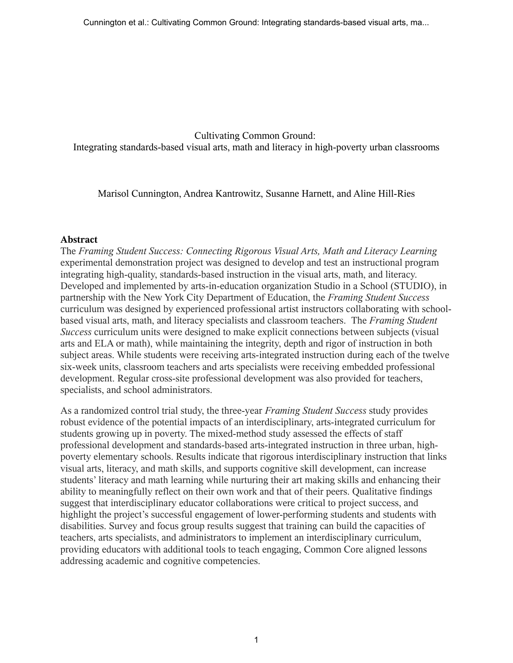Cunnington et al.: Cultivating Common Ground: Integrating standards-based visual arts, ma...

Cultivating Common Ground: Integrating standards-based visual arts, math and literacy in high-poverty urban classrooms

Marisol Cunnington, Andrea Kantrowitz, Susanne Harnett, and Aline Hill-Ries

## **Abstract**

The *Framing Student Success: Connecting Rigorous Visual Arts, Math and Literacy Learning* experimental demonstration project was designed to develop and test an instructional program integrating high-quality, standards-based instruction in the visual arts, math, and literacy. Developed and implemented by arts-in-education organization Studio in a School (STUDIO), in partnership with the New York City Department of Education, the *Framing Student Success*  curriculum was designed by experienced professional artist instructors collaborating with schoolbased visual arts, math, and literacy specialists and classroom teachers. The *Framing Student Success* curriculum units were designed to make explicit connections between subjects (visual arts and ELA or math), while maintaining the integrity, depth and rigor of instruction in both subject areas. While students were receiving arts-integrated instruction during each of the twelve six-week units, classroom teachers and arts specialists were receiving embedded professional development. Regular cross-site professional development was also provided for teachers, specialists, and school administrators.

As a randomized control trial study, the three-year *Framing Student Success* study provides robust evidence of the potential impacts of an interdisciplinary, arts-integrated curriculum for students growing up in poverty. The mixed-method study assessed the effects of staff professional development and standards-based arts-integrated instruction in three urban, highpoverty elementary schools. Results indicate that rigorous interdisciplinary instruction that links visual arts, literacy, and math skills, and supports cognitive skill development, can increase students' literacy and math learning while nurturing their art making skills and enhancing their ability to meaningfully reflect on their own work and that of their peers. Qualitative findings suggest that interdisciplinary educator collaborations were critical to project success, and highlight the project's successful engagement of lower-performing students and students with disabilities. Survey and focus group results suggest that training can build the capacities of teachers, arts specialists, and administrators to implement an interdisciplinary curriculum, providing educators with additional tools to teach engaging, Common Core aligned lessons addressing academic and cognitive competencies.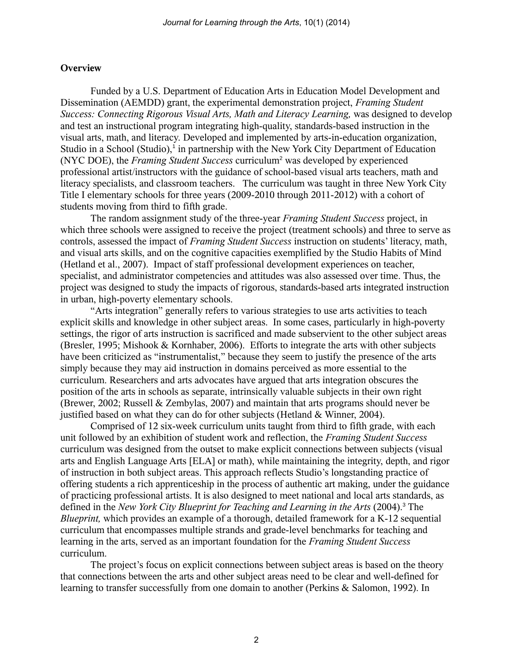### **Overview**

Funded by a U.S. Department of Education Arts in Education Model Development and Dissemination (AEMDD) grant, the experimental demonstration project, *Framing Student Success: Connecting Rigorous Visual Arts, Math and Literacy Learning,* was designed to develop and test an instructional program integrating high-quality, standards-based instruction in the visual arts, math, and literacy. Developed and implemented by arts-in-education organization, Studio in a School (Studio),<sup>1</sup> in partnership with the New York City Department of Education (NYC DOE), the *Framing Student Success* curriculum<sup>2</sup> was developed by experienced professional artist/instructors with the guidance of school-based visual arts teachers, math and literacy specialists, and classroom teachers. The curriculum was taught in three New York City Title I elementary schools for three years (2009-2010 through 2011-2012) with a cohort of students moving from third to fifth grade.

The random assignment study of the three-year *Framing Student Success* project, in which three schools were assigned to receive the project (treatment schools) and three to serve as controls, assessed the impact of *Framing Student Success* instruction on students' literacy, math, and visual arts skills, and on the cognitive capacities exemplified by the Studio Habits of Mind (Hetland et al., 2007). Impact of staff professional development experiences on teacher, specialist, and administrator competencies and attitudes was also assessed over time. Thus, the project was designed to study the impacts of rigorous, standards-based arts integrated instruction in urban, high-poverty elementary schools.

"Arts integration" generally refers to various strategies to use arts activities to teach explicit skills and knowledge in other subject areas. In some cases, particularly in high-poverty settings, the rigor of arts instruction is sacrificed and made subservient to the other subject areas (Bresler, 1995; Mishook & Kornhaber, 2006). Efforts to integrate the arts with other subjects have been criticized as "instrumentalist," because they seem to justify the presence of the arts simply because they may aid instruction in domains perceived as more essential to the curriculum. Researchers and arts advocates have argued that arts integration obscures the position of the arts in schools as separate, intrinsically valuable subjects in their own right (Brewer, 2002; Russell & Zembylas, 2007) and maintain that arts programs should never be justified based on what they can do for other subjects (Hetland & Winner, 2004).

Comprised of 12 six-week curriculum units taught from third to fifth grade, with each unit followed by an exhibition of student work and reflection, the *Framing Student Success*  curriculum was designed from the outset to make explicit connections between subjects (visual arts and English Language Arts [ELA] or math), while maintaining the integrity, depth, and rigor of instruction in both subject areas. This approach reflects Studio's longstanding practice of offering students a rich apprenticeship in the process of authentic art making, under the guidance of practicing professional artists. It is also designed to meet national and local arts standards, as defined in the *New York City Blueprint for Teaching and Learning in the Arts* (2004).<sup>3</sup> The *Blueprint,* which provides an example of a thorough, detailed framework for a K-12 sequential curriculum that encompasses multiple strands and grade-level benchmarks for teaching and learning in the arts, served as an important foundation for the *Framing Student Success* curriculum.

The project's focus on explicit connections between subject areas is based on the theory that connections between the arts and other subject areas need to be clear and well-defined for learning to transfer successfully from one domain to another (Perkins & Salomon, 1992). In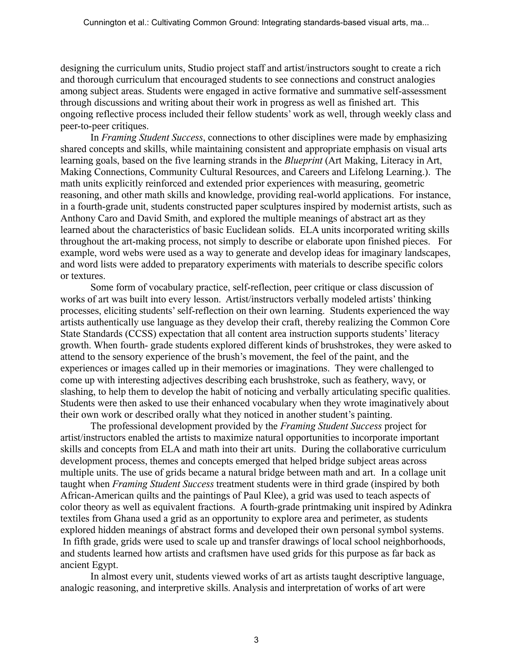designing the curriculum units, Studio project staff and artist/instructors sought to create a rich and thorough curriculum that encouraged students to see connections and construct analogies among subject areas. Students were engaged in active formative and summative self-assessment through discussions and writing about their work in progress as well as finished art. This ongoing reflective process included their fellow students' work as well, through weekly class and peer-to-peer critiques.

In *Framing Student Success*, connections to other disciplines were made by emphasizing shared concepts and skills, while maintaining consistent and appropriate emphasis on visual arts learning goals, based on the five learning strands in the *Blueprint* (Art Making, Literacy in Art, Making Connections, Community Cultural Resources, and Careers and Lifelong Learning.). The math units explicitly reinforced and extended prior experiences with measuring, geometric reasoning, and other math skills and knowledge, providing real-world applications. For instance, in a fourth-grade unit, students constructed paper sculptures inspired by modernist artists, such as Anthony Caro and David Smith, and explored the multiple meanings of abstract art as they learned about the characteristics of basic Euclidean solids. ELA units incorporated writing skills throughout the art-making process, not simply to describe or elaborate upon finished pieces. For example, word webs were used as a way to generate and develop ideas for imaginary landscapes, and word lists were added to preparatory experiments with materials to describe specific colors or textures.

Some form of vocabulary practice, self-reflection, peer critique or class discussion of works of art was built into every lesson. Artist/instructors verbally modeled artists' thinking processes, eliciting students' self-reflection on their own learning. Students experienced the way artists authentically use language as they develop their craft, thereby realizing the Common Core State Standards (CCSS) expectation that all content area instruction supports students' literacy growth. When fourth- grade students explored different kinds of brushstrokes, they were asked to attend to the sensory experience of the brush's movement, the feel of the paint, and the experiences or images called up in their memories or imaginations. They were challenged to come up with interesting adjectives describing each brushstroke, such as feathery, wavy, or slashing, to help them to develop the habit of noticing and verbally articulating specific qualities. Students were then asked to use their enhanced vocabulary when they wrote imaginatively about their own work or described orally what they noticed in another student's painting.

The professional development provided by the *Framing Student Success* project for artist/instructors enabled the artists to maximize natural opportunities to incorporate important skills and concepts from ELA and math into their art units. During the collaborative curriculum development process, themes and concepts emerged that helped bridge subject areas across multiple units. The use of grids became a natural bridge between math and art. In a collage unit taught when *Framing Student Success* treatment students were in third grade (inspired by both African-American quilts and the paintings of Paul Klee), a grid was used to teach aspects of color theory as well as equivalent fractions. A fourth-grade printmaking unit inspired by Adinkra textiles from Ghana used a grid as an opportunity to explore area and perimeter, as students explored hidden meanings of abstract forms and developed their own personal symbol systems. In fifth grade, grids were used to scale up and transfer drawings of local school neighborhoods, and students learned how artists and craftsmen have used grids for this purpose as far back as ancient Egypt.

In almost every unit, students viewed works of art as artists taught descriptive language, analogic reasoning, and interpretive skills. Analysis and interpretation of works of art were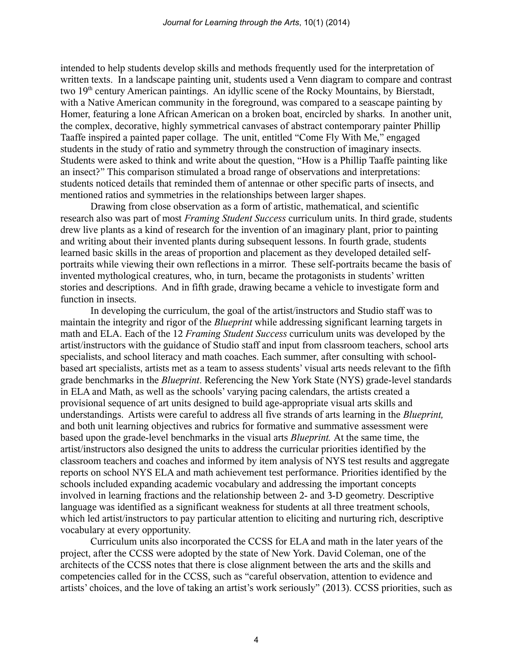intended to help students develop skills and methods frequently used for the interpretation of written texts. In a landscape painting unit, students used a Venn diagram to compare and contrast two 19<sup>th</sup> century American paintings. An idyllic scene of the Rocky Mountains, by Bierstadt, with a Native American community in the foreground, was compared to a seascape painting by Homer, featuring a lone African American on a broken boat, encircled by sharks. In another unit, the complex, decorative, highly symmetrical canvases of abstract contemporary painter Phillip Taaffe inspired a painted paper collage. The unit, entitled "Come Fly With Me," engaged students in the study of ratio and symmetry through the construction of imaginary insects. Students were asked to think and write about the question, "How is a Phillip Taaffe painting like an insect?" This comparison stimulated a broad range of observations and interpretations: students noticed details that reminded them of antennae or other specific parts of insects, and mentioned ratios and symmetries in the relationships between larger shapes.

Drawing from close observation as a form of artistic, mathematical, and scientific research also was part of most *Framing Student Success* curriculum units. In third grade, students drew live plants as a kind of research for the invention of an imaginary plant, prior to painting and writing about their invented plants during subsequent lessons. In fourth grade, students learned basic skills in the areas of proportion and placement as they developed detailed selfportraits while viewing their own reflections in a mirror. These self-portraits became the basis of invented mythological creatures, who, in turn, became the protagonists in students' written stories and descriptions. And in fifth grade, drawing became a vehicle to investigate form and function in insects.

In developing the curriculum, the goal of the artist/instructors and Studio staff was to maintain the integrity and rigor of the *Blueprint* while addressing significant learning targets in math and ELA. Each of the 12 *Framing Student Success* curriculum units was developed by the artist/instructors with the guidance of Studio staff and input from classroom teachers, school arts specialists, and school literacy and math coaches. Each summer, after consulting with schoolbased art specialists, artists met as a team to assess students' visual arts needs relevant to the fifth grade benchmarks in the *Blueprint*. Referencing the New York State (NYS) grade-level standards in ELA and Math, as well as the schools' varying pacing calendars, the artists created a provisional sequence of art units designed to build age-appropriate visual arts skills and understandings. Artists were careful to address all five strands of arts learning in the *Blueprint,*  and both unit learning objectives and rubrics for formative and summative assessment were based upon the grade-level benchmarks in the visual arts *Blueprint.* At the same time, the artist/instructors also designed the units to address the curricular priorities identified by the classroom teachers and coaches and informed by item analysis of NYS test results and aggregate reports on school NYS ELA and math achievement test performance. Priorities identified by the schools included expanding academic vocabulary and addressing the important concepts involved in learning fractions and the relationship between 2- and 3-D geometry. Descriptive language was identified as a significant weakness for students at all three treatment schools, which led artist/instructors to pay particular attention to eliciting and nurturing rich, descriptive vocabulary at every opportunity.

Curriculum units also incorporated the CCSS for ELA and math in the later years of the project, after the CCSS were adopted by the state of New York. David Coleman, one of the architects of the CCSS notes that there is close alignment between the arts and the skills and competencies called for in the CCSS, such as "careful observation, attention to evidence and artists' choices, and the love of taking an artist's work seriously" (2013). CCSS priorities, such as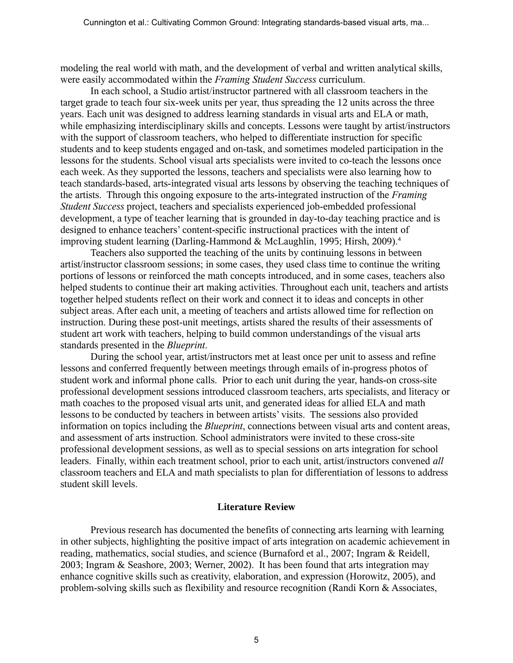modeling the real world with math, and the development of verbal and written analytical skills, were easily accommodated within the *Framing Student Success* curriculum.

In each school, a Studio artist/instructor partnered with all classroom teachers in the target grade to teach four six-week units per year, thus spreading the 12 units across the three years. Each unit was designed to address learning standards in visual arts and ELA or math, while emphasizing interdisciplinary skills and concepts. Lessons were taught by artist/instructors with the support of classroom teachers, who helped to differentiate instruction for specific students and to keep students engaged and on-task, and sometimes modeled participation in the lessons for the students. School visual arts specialists were invited to co-teach the lessons once each week. As they supported the lessons, teachers and specialists were also learning how to teach standards-based, arts-integrated visual arts lessons by observing the teaching techniques of the artists. Through this ongoing exposure to the arts-integrated instruction of the *Framing Student Success* project, teachers and specialists experienced job-embedded professional development, a type of teacher learning that is grounded in day-to-day teaching practice and is designed to enhance teachers' content-specific instructional practices with the intent of improving student learning (Darling-Hammond & McLaughlin, 1995; Hirsh, 2009).<sup>4</sup>

Teachers also supported the teaching of the units by continuing lessons in between artist/instructor classroom sessions; in some cases, they used class time to continue the writing portions of lessons or reinforced the math concepts introduced, and in some cases, teachers also helped students to continue their art making activities. Throughout each unit, teachers and artists together helped students reflect on their work and connect it to ideas and concepts in other subject areas. After each unit, a meeting of teachers and artists allowed time for reflection on instruction. During these post-unit meetings, artists shared the results of their assessments of student art work with teachers, helping to build common understandings of the visual arts standards presented in the *Blueprint*.

During the school year, artist/instructors met at least once per unit to assess and refine lessons and conferred frequently between meetings through emails of in-progress photos of student work and informal phone calls. Prior to each unit during the year, hands-on cross-site professional development sessions introduced classroom teachers, arts specialists, and literacy or math coaches to the proposed visual arts unit, and generated ideas for allied ELA and math lessons to be conducted by teachers in between artists' visits. The sessions also provided information on topics including the *Blueprint*, connections between visual arts and content areas, and assessment of arts instruction. School administrators were invited to these cross-site professional development sessions, as well as to special sessions on arts integration for school leaders. Finally, within each treatment school, prior to each unit, artist/instructors convened *all* classroom teachers and ELA and math specialists to plan for differentiation of lessons to address student skill levels.

#### **Literature Review**

Previous research has documented the benefits of connecting arts learning with learning in other subjects, highlighting the positive impact of arts integration on academic achievement in reading, mathematics, social studies, and science (Burnaford et al., 2007; Ingram & Reidell, 2003; Ingram & Seashore, 2003; Werner, 2002). It has been found that arts integration may enhance cognitive skills such as creativity, elaboration, and expression (Horowitz, 2005), and problem-solving skills such as flexibility and resource recognition (Randi Korn & Associates,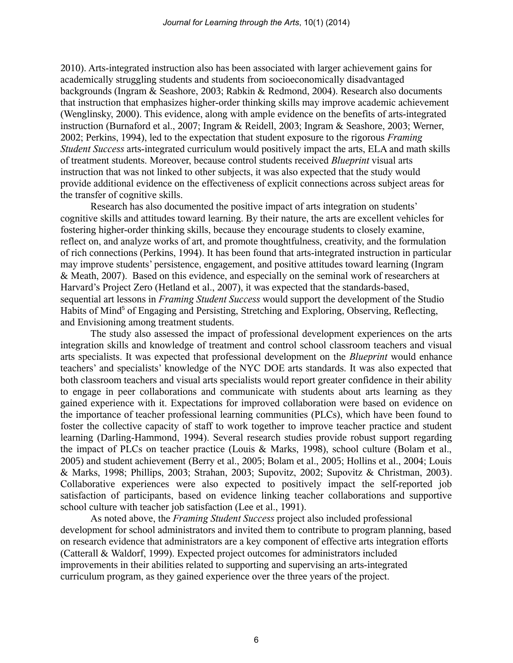2010). Arts-integrated instruction also has been associated with larger achievement gains for academically struggling students and students from socioeconomically disadvantaged backgrounds (Ingram & Seashore, 2003; Rabkin & Redmond, 2004). Research also documents that instruction that emphasizes higher-order thinking skills may improve academic achievement (Wenglinsky, 2000). This evidence, along with ample evidence on the benefits of arts-integrated instruction (Burnaford et al., 2007; Ingram & Reidell, 2003; Ingram & Seashore, 2003; Werner, 2002; Perkins, 1994), led to the expectation that student exposure to the rigorous *Framing Student Success* arts-integrated curriculum would positively impact the arts, ELA and math skills of treatment students. Moreover, because control students received *Blueprint* visual arts instruction that was not linked to other subjects, it was also expected that the study would provide additional evidence on the effectiveness of explicit connections across subject areas for the transfer of cognitive skills.

Research has also documented the positive impact of arts integration on students' cognitive skills and attitudes toward learning. By their nature, the arts are excellent vehicles for fostering higher-order thinking skills, because they encourage students to closely examine, reflect on, and analyze works of art, and promote thoughtfulness, creativity, and the formulation of rich connections (Perkins, 1994). It has been found that arts-integrated instruction in particular may improve students' persistence, engagement, and positive attitudes toward learning (Ingram & Meath, 2007). Based on this evidence, and especially on the seminal work of researchers at Harvard's Project Zero (Hetland et al., 2007), it was expected that the standards-based, sequential art lessons in *Framing Student Success* would support the development of the Studio Habits of Mind<sup>5</sup> of Engaging and Persisting, Stretching and Exploring, Observing, Reflecting, and Envisioning among treatment students.

The study also assessed the impact of professional development experiences on the arts integration skills and knowledge of treatment and control school classroom teachers and visual arts specialists. It was expected that professional development on the *Blueprint* would enhance teachers' and specialists' knowledge of the NYC DOE arts standards. It was also expected that both classroom teachers and visual arts specialists would report greater confidence in their ability to engage in peer collaborations and communicate with students about arts learning as they gained experience with it. Expectations for improved collaboration were based on evidence on the importance of teacher professional learning communities (PLCs), which have been found to foster the collective capacity of staff to work together to improve teacher practice and student learning (Darling-Hammond, 1994). Several research studies provide robust support regarding the impact of PLCs on teacher practice (Louis & Marks, 1998), school culture (Bolam et al., 2005) and student achievement (Berry et al., 2005; Bolam et al., 2005; Hollins et al., 2004; Louis & Marks, 1998; Phillips, 2003; Strahan, 2003; Supovitz, 2002; Supovitz & Christman, 2003). Collaborative experiences were also expected to positively impact the self-reported job satisfaction of participants, based on evidence linking teacher collaborations and supportive school culture with teacher job satisfaction (Lee et al., 1991).

As noted above, the *Framing Student Success* project also included professional development for school administrators and invited them to contribute to program planning, based on research evidence that administrators are a key component of effective arts integration efforts (Catterall & Waldorf, 1999). Expected project outcomes for administrators included improvements in their abilities related to supporting and supervising an arts-integrated curriculum program, as they gained experience over the three years of the project.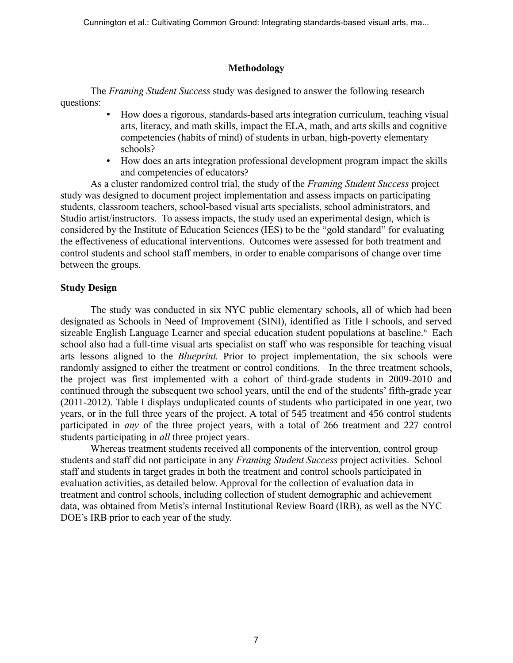Cunnington et al.: Cultivating Common Ground: Integrating standards-based visual arts, ma...

# **Methodology**

The *Framing Student Success* study was designed to answer the following research questions:

- How does a rigorous, standards-based arts integration curriculum, teaching visual arts, literacy, and math skills, impact the ELA, math, and arts skills and cognitive competencies (habits of mind) of students in urban, high-poverty elementary schools?
- How does an arts integration professional development program impact the skills and competencies of educators?

As a cluster randomized control trial, the study of the *Framing Student Success* project study was designed to document project implementation and assess impacts on participating students, classroom teachers, school-based visual arts specialists, school administrators, and Studio artist/instructors. To assess impacts, the study used an experimental design, which is considered by the Institute of Education Sciences (IES) to be the "gold standard" for evaluating the effectiveness of educational interventions. Outcomes were assessed for both treatment and control students and school staff members, in order to enable comparisons of change over time between the groups.

## **Study Design**

The study was conducted in six NYC public elementary schools, all of which had been designated as Schools in Need of Improvement (SINI), identified as Title I schools, and served sizeable English Language Learner and special education student populations at baseline.<sup>6</sup> Each school also had a full-time visual arts specialist on staff who was responsible for teaching visual arts lessons aligned to the *Blueprint.* Prior to project implementation, the six schools were randomly assigned to either the treatment or control conditions. In the three treatment schools, the project was first implemented with a cohort of third-grade students in 2009-2010 and continued through the subsequent two school years, until the end of the students' fifth-grade year (2011-2012). Table I displays unduplicated counts of students who participated in one year, two years, or in the full three years of the project. A total of 545 treatment and 456 control students participated in *any* of the three project years, with a total of 266 treatment and 227 control students participating in *all* three project years.

Whereas treatment students received all components of the intervention, control group students and staff did not participate in any *Framing Student Success* project activities. School staff and students in target grades in both the treatment and control schools participated in evaluation activities, as detailed below. Approval for the collection of evaluation data in treatment and control schools, including collection of student demographic and achievement data, was obtained from Metis's internal Institutional Review Board (IRB), as well as the NYC DOE's IRB prior to each year of the study.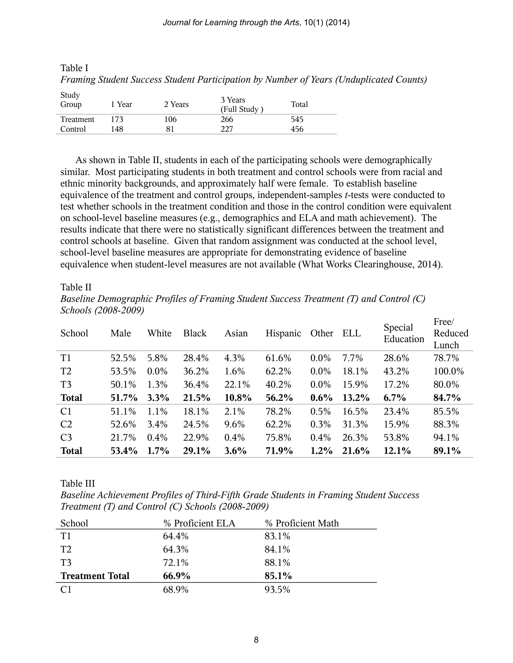| Study<br>Group | 1 Year | 2 Years | 3 Years<br>(Full Study) | Total |
|----------------|--------|---------|-------------------------|-------|
| Treatment      | 173.   | 106     | 266                     | 545   |
| Control        | 148    | 81      | 227                     | 456   |

Table I *Framing Student Success Student Participation by Number of Years (Unduplicated Counts)*

As shown in Table II, students in each of the participating schools were demographically similar. Most participating students in both treatment and control schools were from racial and ethnic minority backgrounds, and approximately half were female. To establish baseline equivalence of the treatment and control groups, independent-samples *t*-tests were conducted to test whether schools in the treatment condition and those in the control condition were equivalent on school-level baseline measures (e.g., demographics and ELA and math achievement). The results indicate that there were no statistically significant differences between the treatment and control schools at baseline. Given that random assignment was conducted at the school level, school-level baseline measures are appropriate for demonstrating evidence of baseline equivalence when student-level measures are not available (What Works Clearinghouse, 2014).

Table II

*Baseline Demographic Profiles of Framing Student Success Treatment (T) and Control (C) Schools (2008-2009)*

| School         | Male  | White   | <b>Black</b> | Asian | Hispanic | Other   | ELL   | Special<br>Education | Free/<br>Reduced<br>Lunch |
|----------------|-------|---------|--------------|-------|----------|---------|-------|----------------------|---------------------------|
| T1             | 52.5% | 5.8%    | 28.4%        | 4.3%  | 61.6%    | $0.0\%$ | 7.7%  | 28.6%                | 78.7%                     |
| T2             | 53.5% | $0.0\%$ | 36.2%        | 1.6%  | 62.2%    | $0.0\%$ | 18.1% | 43.2%                | 100.0%                    |
| T <sub>3</sub> | 50.1% | 1.3%    | 36.4%        | 22.1% | 40.2%    | $0.0\%$ | 15.9% | 17.2%                | 80.0%                     |
| <b>Total</b>   | 51.7% | 3.3%    | 21.5%        | 10.8% | 56.2%    | $0.6\%$ | 13.2% | $6.7\%$              | 84.7%                     |
| C1             | 51.1% | 1.1%    | 18.1%        | 2.1%  | 78.2%    | 0.5%    | 16.5% | 23.4%                | 85.5%                     |
| C <sub>2</sub> | 52.6% | 3.4%    | 24.5%        | 9.6%  | 62.2%    | $0.3\%$ | 31.3% | 15.9%                | 88.3%                     |
| C <sub>3</sub> | 21.7% | $0.4\%$ | 22.9%        | 0.4%  | 75.8%    | 0.4%    | 26.3% | 53.8%                | 94.1%                     |
| <b>Total</b>   | 53.4% | $1.7\%$ | 29.1%        | 3.6%  | 71.9%    | $1.2\%$ | 21.6% | 12.1%                | 89.1%                     |

Table III

*Baseline Achievement Profiles of Third-Fifth Grade Students in Framing Student Success Treatment (T) and Control (C) Schools (2008-2009)*

| School                 | % Proficient ELA | % Proficient Math |
|------------------------|------------------|-------------------|
| T1                     | 64.4%            | 83.1%             |
| T <sub>2</sub>         | 64.3%            | 84.1%             |
| T3                     | 72.1%            | 88.1%             |
| <b>Treatment Total</b> | 66.9%            | 85.1%             |
| C <sub>1</sub>         | 68.9%            | 93.5%             |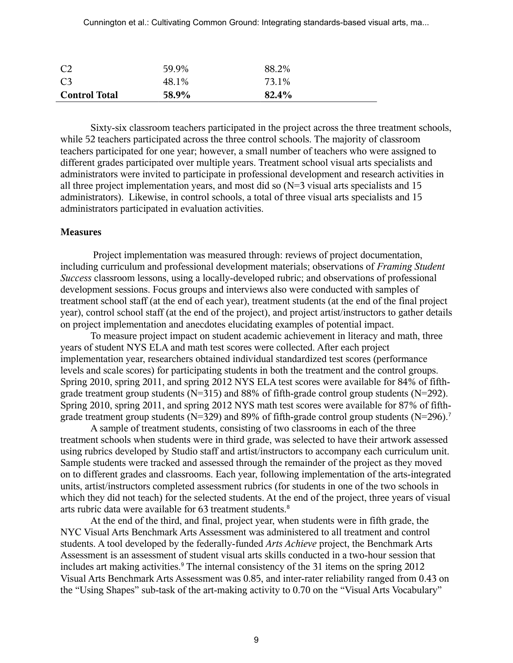Cunnington et al.: Cultivating Common Ground: Integrating standards-based visual arts, ma...

| C <sub>2</sub>       | 59.9% | 88.2% |
|----------------------|-------|-------|
| C <sub>3</sub>       | 48.1% | 73.1% |
| <b>Control Total</b> | 58.9% | 82.4% |

Sixty-six classroom teachers participated in the project across the three treatment schools, while 52 teachers participated across the three control schools. The majority of classroom teachers participated for one year; however, a small number of teachers who were assigned to different grades participated over multiple years. Treatment school visual arts specialists and administrators were invited to participate in professional development and research activities in all three project implementation years, and most did so (N=3 visual arts specialists and 15 administrators). Likewise, in control schools, a total of three visual arts specialists and 15 administrators participated in evaluation activities.

### **Measures**

Project implementation was measured through: reviews of project documentation, including curriculum and professional development materials; observations of *Framing Student Success* classroom lessons, using a locally-developed rubric; and observations of professional development sessions. Focus groups and interviews also were conducted with samples of treatment school staff (at the end of each year), treatment students (at the end of the final project year), control school staff (at the end of the project), and project artist/instructors to gather details on project implementation and anecdotes elucidating examples of potential impact.

To measure project impact on student academic achievement in literacy and math, three years of student NYS ELA and math test scores were collected. After each project implementation year, researchers obtained individual standardized test scores (performance levels and scale scores) for participating students in both the treatment and the control groups. Spring 2010, spring 2011, and spring 2012 NYS ELA test scores were available for 84% of fifthgrade treatment group students (N=315) and 88% of fifth-grade control group students (N=292). Spring 2010, spring 2011, and spring 2012 NYS math test scores were available for 87% of fifthgrade treatment group students ( $N=329$ ) and 89% of fifth-grade control group students ( $N=296$ ).<sup>7</sup>

A sample of treatment students, consisting of two classrooms in each of the three treatment schools when students were in third grade, was selected to have their artwork assessed using rubrics developed by Studio staff and artist/instructors to accompany each curriculum unit. Sample students were tracked and assessed through the remainder of the project as they moved on to different grades and classrooms. Each year, following implementation of the arts-integrated units, artist/instructors completed assessment rubrics (for students in one of the two schools in which they did not teach) for the selected students. At the end of the project, three years of visual arts rubric data were available for 63 treatment students.<sup>8</sup>

At the end of the third, and final, project year, when students were in fifth grade, the NYC Visual Arts Benchmark Arts Assessment was administered to all treatment and control students. A tool developed by the federally-funded *Arts Achieve* project, the Benchmark Arts Assessment is an assessment of student visual arts skills conducted in a two-hour session that includes art making activities.<sup>9</sup> The internal consistency of the 31 items on the spring 2012 Visual Arts Benchmark Arts Assessment was 0.85, and inter-rater reliability ranged from 0.43 on the "Using Shapes" sub-task of the art-making activity to 0.70 on the "Visual Arts Vocabulary"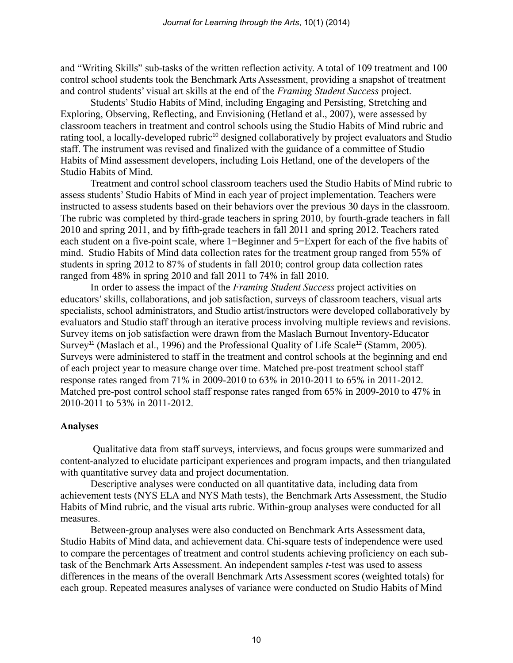and "Writing Skills" sub-tasks of the written reflection activity. A total of 109 treatment and 100 control school students took the Benchmark Arts Assessment, providing a snapshot of treatment and control students' visual art skills at the end of the *Framing Student Success* project.

Students' Studio Habits of Mind, including Engaging and Persisting, Stretching and Exploring, Observing, Reflecting, and Envisioning (Hetland et al., 2007), were assessed by classroom teachers in treatment and control schools using the Studio Habits of Mind rubric and rating tool, a locally-developed rubric<sup>10</sup> designed collaboratively by project evaluators and Studio staff. The instrument was revised and finalized with the guidance of a committee of Studio Habits of Mind assessment developers, including Lois Hetland, one of the developers of the Studio Habits of Mind.

Treatment and control school classroom teachers used the Studio Habits of Mind rubric to assess students' Studio Habits of Mind in each year of project implementation. Teachers were instructed to assess students based on their behaviors over the previous 30 days in the classroom. The rubric was completed by third-grade teachers in spring 2010, by fourth-grade teachers in fall 2010 and spring 2011, and by fifth-grade teachers in fall 2011 and spring 2012. Teachers rated each student on a five-point scale, where 1=Beginner and 5=Expert for each of the five habits of mind. Studio Habits of Mind data collection rates for the treatment group ranged from 55% of students in spring 2012 to 87% of students in fall 2010; control group data collection rates ranged from 48% in spring 2010 and fall 2011 to 74% in fall 2010.

In order to assess the impact of the *Framing Student Success* project activities on educators' skills, collaborations, and job satisfaction, surveys of classroom teachers, visual arts specialists, school administrators, and Studio artist/instructors were developed collaboratively by evaluators and Studio staff through an iterative process involving multiple reviews and revisions. Survey items on job satisfaction were drawn from the Maslach Burnout Inventory-Educator Survey<sup>11</sup> (Maslach et al., 1996) and the Professional Quality of Life Scale<sup>12</sup> (Stamm, 2005). Surveys were administered to staff in the treatment and control schools at the beginning and end of each project year to measure change over time. Matched pre-post treatment school staff response rates ranged from 71% in 2009-2010 to 63% in 2010-2011 to 65% in 2011-2012. Matched pre-post control school staff response rates ranged from 65% in 2009-2010 to 47% in 2010-2011 to 53% in 2011-2012.

## **Analyses**

Qualitative data from staff surveys, interviews, and focus groups were summarized and content-analyzed to elucidate participant experiences and program impacts, and then triangulated with quantitative survey data and project documentation.

Descriptive analyses were conducted on all quantitative data, including data from achievement tests (NYS ELA and NYS Math tests), the Benchmark Arts Assessment, the Studio Habits of Mind rubric, and the visual arts rubric. Within-group analyses were conducted for all measures.

Between-group analyses were also conducted on Benchmark Arts Assessment data, Studio Habits of Mind data, and achievement data. Chi-square tests of independence were used to compare the percentages of treatment and control students achieving proficiency on each subtask of the Benchmark Arts Assessment. An independent samples *t*-test was used to assess differences in the means of the overall Benchmark Arts Assessment scores (weighted totals) for each group. Repeated measures analyses of variance were conducted on Studio Habits of Mind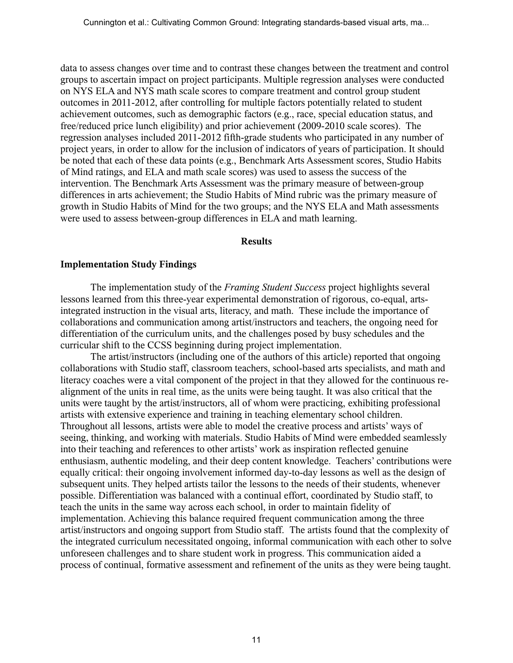data to assess changes over time and to contrast these changes between the treatment and control groups to ascertain impact on project participants. Multiple regression analyses were conducted on NYS ELA and NYS math scale scores to compare treatment and control group student outcomes in 2011-2012, after controlling for multiple factors potentially related to student achievement outcomes, such as demographic factors (e.g., race, special education status, and free/reduced price lunch eligibility) and prior achievement (2009-2010 scale scores). The regression analyses included 2011-2012 fifth-grade students who participated in any number of project years, in order to allow for the inclusion of indicators of years of participation. It should be noted that each of these data points (e.g., Benchmark Arts Assessment scores, Studio Habits of Mind ratings, and ELA and math scale scores) was used to assess the success of the intervention. The Benchmark Arts Assessment was the primary measure of between-group differences in arts achievement; the Studio Habits of Mind rubric was the primary measure of growth in Studio Habits of Mind for the two groups; and the NYS ELA and Math assessments were used to assess between-group differences in ELA and math learning.

### **Results**

## **Implementation Study Findings**

The implementation study of the *Framing Student Success* project highlights several lessons learned from this three-year experimental demonstration of rigorous, co-equal, artsintegrated instruction in the visual arts, literacy, and math. These include the importance of collaborations and communication among artist/instructors and teachers, the ongoing need for differentiation of the curriculum units, and the challenges posed by busy schedules and the curricular shift to the CCSS beginning during project implementation.

The artist/instructors (including one of the authors of this article) reported that ongoing collaborations with Studio staff, classroom teachers, school-based arts specialists, and math and literacy coaches were a vital component of the project in that they allowed for the continuous realignment of the units in real time, as the units were being taught. It was also critical that the units were taught by the artist/instructors, all of whom were practicing, exhibiting professional artists with extensive experience and training in teaching elementary school children. Throughout all lessons, artists were able to model the creative process and artists' ways of seeing, thinking, and working with materials. Studio Habits of Mind were embedded seamlessly into their teaching and references to other artists' work as inspiration reflected genuine enthusiasm, authentic modeling, and their deep content knowledge. Teachers' contributions were equally critical: their ongoing involvement informed day-to-day lessons as well as the design of subsequent units. They helped artists tailor the lessons to the needs of their students, whenever possible. Differentiation was balanced with a continual effort, coordinated by Studio staff, to teach the units in the same way across each school, in order to maintain fidelity of implementation. Achieving this balance required frequent communication among the three artist/instructors and ongoing support from Studio staff. The artists found that the complexity of the integrated curriculum necessitated ongoing, informal communication with each other to solve unforeseen challenges and to share student work in progress. This communication aided a process of continual, formative assessment and refinement of the units as they were being taught.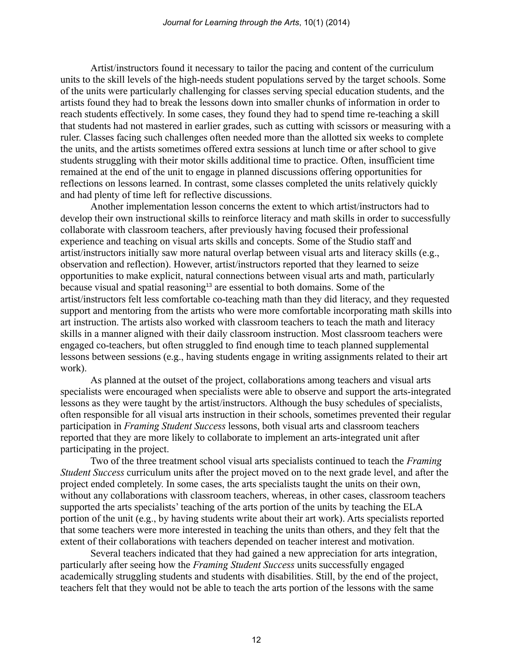Artist/instructors found it necessary to tailor the pacing and content of the curriculum units to the skill levels of the high-needs student populations served by the target schools. Some of the units were particularly challenging for classes serving special education students, and the artists found they had to break the lessons down into smaller chunks of information in order to reach students effectively. In some cases, they found they had to spend time re-teaching a skill that students had not mastered in earlier grades, such as cutting with scissors or measuring with a ruler. Classes facing such challenges often needed more than the allotted six weeks to complete the units, and the artists sometimes offered extra sessions at lunch time or after school to give students struggling with their motor skills additional time to practice. Often, insufficient time remained at the end of the unit to engage in planned discussions offering opportunities for reflections on lessons learned. In contrast, some classes completed the units relatively quickly and had plenty of time left for reflective discussions.

Another implementation lesson concerns the extent to which artist/instructors had to develop their own instructional skills to reinforce literacy and math skills in order to successfully collaborate with classroom teachers, after previously having focused their professional experience and teaching on visual arts skills and concepts. Some of the Studio staff and artist/instructors initially saw more natural overlap between visual arts and literacy skills (e.g., observation and reflection). However, artist/instructors reported that they learned to seize opportunities to make explicit, natural connections between visual arts and math, particularly because visual and spatial reasoning<sup>13</sup> are essential to both domains. Some of the artist/instructors felt less comfortable co-teaching math than they did literacy, and they requested support and mentoring from the artists who were more comfortable incorporating math skills into art instruction. The artists also worked with classroom teachers to teach the math and literacy skills in a manner aligned with their daily classroom instruction. Most classroom teachers were engaged co-teachers, but often struggled to find enough time to teach planned supplemental lessons between sessions (e.g., having students engage in writing assignments related to their art work).

As planned at the outset of the project, collaborations among teachers and visual arts specialists were encouraged when specialists were able to observe and support the arts-integrated lessons as they were taught by the artist/instructors. Although the busy schedules of specialists, often responsible for all visual arts instruction in their schools, sometimes prevented their regular participation in *Framing Student Success* lessons, both visual arts and classroom teachers reported that they are more likely to collaborate to implement an arts-integrated unit after participating in the project.

Two of the three treatment school visual arts specialists continued to teach the *Framing Student Success* curriculum units after the project moved on to the next grade level, and after the project ended completely. In some cases, the arts specialists taught the units on their own, without any collaborations with classroom teachers, whereas, in other cases, classroom teachers supported the arts specialists' teaching of the arts portion of the units by teaching the ELA portion of the unit (e.g., by having students write about their art work). Arts specialists reported that some teachers were more interested in teaching the units than others, and they felt that the extent of their collaborations with teachers depended on teacher interest and motivation.

Several teachers indicated that they had gained a new appreciation for arts integration, particularly after seeing how the *Framing Student Success* units successfully engaged academically struggling students and students with disabilities. Still, by the end of the project, teachers felt that they would not be able to teach the arts portion of the lessons with the same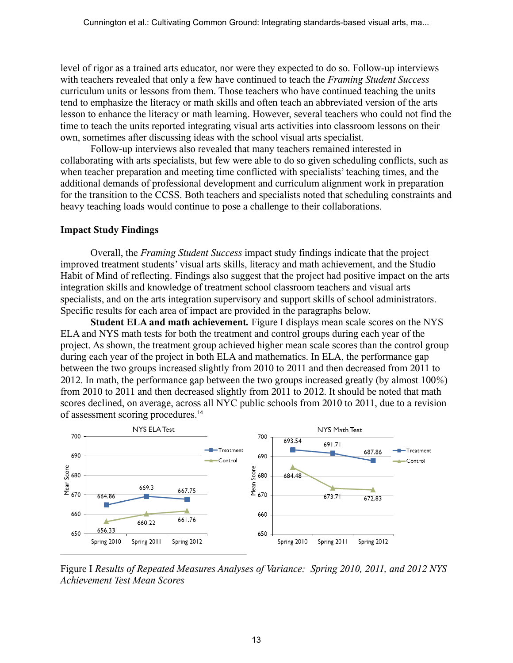level of rigor as a trained arts educator, nor were they expected to do so. Follow-up interviews with teachers revealed that only a few have continued to teach the *Framing Student Success*  curriculum units or lessons from them. Those teachers who have continued teaching the units tend to emphasize the literacy or math skills and often teach an abbreviated version of the arts lesson to enhance the literacy or math learning. However, several teachers who could not find the time to teach the units reported integrating visual arts activities into classroom lessons on their own, sometimes after discussing ideas with the school visual arts specialist.

Follow-up interviews also revealed that many teachers remained interested in collaborating with arts specialists, but few were able to do so given scheduling conflicts, such as when teacher preparation and meeting time conflicted with specialists' teaching times, and the additional demands of professional development and curriculum alignment work in preparation for the transition to the CCSS. Both teachers and specialists noted that scheduling constraints and heavy teaching loads would continue to pose a challenge to their collaborations.

## **Impact Study Findings**

Overall, the *Framing Student Success* impact study findings indicate that the project improved treatment students' visual arts skills, literacy and math achievement, and the Studio Habit of Mind of reflecting. Findings also suggest that the project had positive impact on the arts integration skills and knowledge of treatment school classroom teachers and visual arts specialists, and on the arts integration supervisory and support skills of school administrators. Specific results for each area of impact are provided in the paragraphs below.

**Student ELA and math achievement***.* Figure I displays mean scale scores on the NYS ELA and NYS math tests for both the treatment and control groups during each year of the project. As shown, the treatment group achieved higher mean scale scores than the control group during each year of the project in both ELA and mathematics. In ELA, the performance gap between the two groups increased slightly from 2010 to 2011 and then decreased from 2011 to 2012. In math, the performance gap between the two groups increased greatly (by almost 100%) from 2010 to 2011 and then decreased slightly from 2011 to 2012. It should be noted that math scores declined, on average, across all NYC public schools from 2010 to 2011, due to a revision of assessment scoring procedures.<sup>14</sup>



Figure I *Results of Repeated Measures Analyses of Variance: Spring 2010, 2011, and 2012 NYS Achievement Test Mean Scores*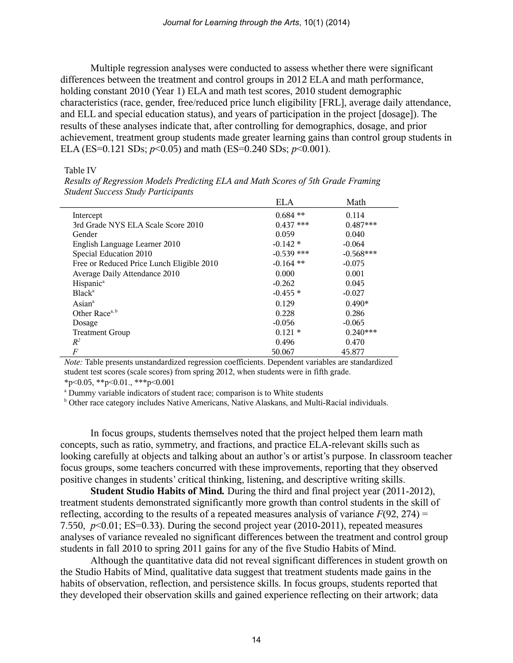Multiple regression analyses were conducted to assess whether there were significant differences between the treatment and control groups in 2012 ELA and math performance, holding constant 2010 (Year 1) ELA and math test scores, 2010 student demographic characteristics (race, gender, free/reduced price lunch eligibility [FRL], average daily attendance, and ELL and special education status), and years of participation in the project [dosage]). The results of these analyses indicate that, after controlling for demographics, dosage, and prior achievement, treatment group students made greater learning gains than control group students in ELA (ES=0.121 SDs;  $p<0.05$ ) and math (ES=0.240 SDs;  $p<0.001$ ).

Table IV

|                                           | <b>ELA</b>   | Math        |  |
|-------------------------------------------|--------------|-------------|--|
| Intercept                                 | $0.684$ **   | 0.114       |  |
| 3rd Grade NYS ELA Scale Score 2010        | $0.437$ ***  | $0.487***$  |  |
| Gender                                    | 0.059        | 0.040       |  |
| English Language Learner 2010             | $-0.142*$    | $-0.064$    |  |
| Special Education 2010                    | $-0.539$ *** | $-0.568***$ |  |
| Free or Reduced Price Lunch Eligible 2010 | $-0.164$ **  | $-0.075$    |  |
| Average Daily Attendance 2010             | 0.000        | 0.001       |  |
| Hispanic <sup>a</sup>                     | $-0.262$     | 0.045       |  |
| Black <sup>a</sup>                        | $-0.455*$    | $-0.027$    |  |
| $\text{Asian}^a$                          | 0.129        | $0.490*$    |  |
| Other Race <sup>a, b</sup>                | 0.228        | 0.286       |  |
| Dosage                                    | $-0.056$     | $-0.065$    |  |
| <b>Treatment Group</b>                    | $0.121*$     | $0.240***$  |  |
| $R^2$                                     | 0.496        | 0.470       |  |
| F                                         | 50.067       | 45.877      |  |

*Results of Regression Models Predicting ELA and Math Scores of 5th Grade Framing Student Success Study Participants*

*Note:* Table presents unstandardized regression coefficients. Dependent variables are standardized student test scores (scale scores) from spring 2012, when students were in fifth grade.  $*p<0.05$ ,  $*p<0.01$ .,  $**p<0.001$ 

<sup>a</sup> Dummy variable indicators of student race; comparison is to White students

<sup>b</sup> Other race category includes Native Americans, Native Alaskans, and Multi-Racial individuals.

In focus groups, students themselves noted that the project helped them learn math concepts, such as ratio, symmetry, and fractions, and practice ELA-relevant skills such as looking carefully at objects and talking about an author's or artist's purpose. In classroom teacher focus groups, some teachers concurred with these improvements, reporting that they observed positive changes in students' critical thinking, listening, and descriptive writing skills.

**Student Studio Habits of Mind***.* During the third and final project year (2011-2012), treatment students demonstrated significantly more growth than control students in the skill of reflecting, according to the results of a repeated measures analysis of variance  $F(92, 274) =$ 7.550,  $p<0.01$ ; ES=0.33). During the second project year (2010-2011), repeated measures analyses of variance revealed no significant differences between the treatment and control group students in fall 2010 to spring 2011 gains for any of the five Studio Habits of Mind.

Although the quantitative data did not reveal significant differences in student growth on the Studio Habits of Mind, qualitative data suggest that treatment students made gains in the habits of observation, reflection, and persistence skills. In focus groups, students reported that they developed their observation skills and gained experience reflecting on their artwork; data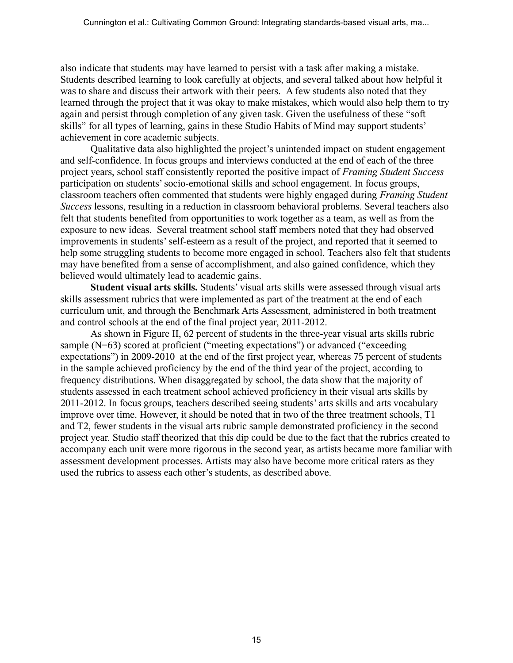also indicate that students may have learned to persist with a task after making a mistake. Students described learning to look carefully at objects, and several talked about how helpful it was to share and discuss their artwork with their peers. A few students also noted that they learned through the project that it was okay to make mistakes, which would also help them to try again and persist through completion of any given task. Given the usefulness of these "soft skills" for all types of learning, gains in these Studio Habits of Mind may support students' achievement in core academic subjects.

Qualitative data also highlighted the project's unintended impact on student engagement and self-confidence. In focus groups and interviews conducted at the end of each of the three project years, school staff consistently reported the positive impact of *Framing Student Success*  participation on students' socio-emotional skills and school engagement. In focus groups, classroom teachers often commented that students were highly engaged during *Framing Student Success* lessons, resulting in a reduction in classroom behavioral problems. Several teachers also felt that students benefited from opportunities to work together as a team, as well as from the exposure to new ideas. Several treatment school staff members noted that they had observed improvements in students' self-esteem as a result of the project, and reported that it seemed to help some struggling students to become more engaged in school. Teachers also felt that students may have benefited from a sense of accomplishment, and also gained confidence, which they believed would ultimately lead to academic gains.

**Student visual arts skills.** Students' visual arts skills were assessed through visual arts skills assessment rubrics that were implemented as part of the treatment at the end of each curriculum unit, and through the Benchmark Arts Assessment, administered in both treatment and control schools at the end of the final project year, 2011-2012.

As shown in Figure II, 62 percent of students in the three-year visual arts skills rubric sample (N=63) scored at proficient ("meeting expectations") or advanced ("exceeding expectations") in 2009-2010 at the end of the first project year, whereas 75 percent of students in the sample achieved proficiency by the end of the third year of the project, according to frequency distributions. When disaggregated by school, the data show that the majority of students assessed in each treatment school achieved proficiency in their visual arts skills by 2011-2012. In focus groups, teachers described seeing students' arts skills and arts vocabulary improve over time. However, it should be noted that in two of the three treatment schools, T1 and T2, fewer students in the visual arts rubric sample demonstrated proficiency in the second project year. Studio staff theorized that this dip could be due to the fact that the rubrics created to accompany each unit were more rigorous in the second year, as artists became more familiar with assessment development processes. Artists may also have become more critical raters as they used the rubrics to assess each other's students, as described above.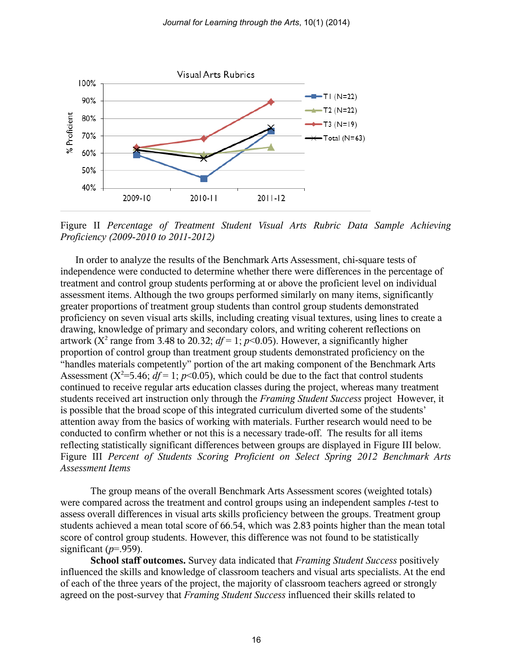

Figure II *Percentage of Treatment Student Visual Arts Rubric Data Sample Achieving Proficiency (2009-2010 to 2011-2012)*

 In order to analyze the results of the Benchmark Arts Assessment, chi-square tests of independence were conducted to determine whether there were differences in the percentage of treatment and control group students performing at or above the proficient level on individual assessment items. Although the two groups performed similarly on many items, significantly greater proportions of treatment group students than control group students demonstrated proficiency on seven visual arts skills, including creating visual textures, using lines to create a drawing, knowledge of primary and secondary colors, and writing coherent reflections on artwork ( $X^2$  range from 3.48 to 20.32;  $df = 1$ ;  $p \le 0.05$ ). However, a significantly higher proportion of control group than treatment group students demonstrated proficiency on the "handles materials competently" portion of the art making component of the Benchmark Arts Assessment ( $X^2$ =5.46; *df* = 1; *p*<0.05), which could be due to the fact that control students continued to receive regular arts education classes during the project, whereas many treatment students received art instruction only through the *Framing Student Success* project However, it is possible that the broad scope of this integrated curriculum diverted some of the students' attention away from the basics of working with materials. Further research would need to be conducted to confirm whether or not this is a necessary trade-off. The results for all items reflecting statistically significant differences between groups are displayed in Figure III below. Figure III *Percent of Students Scoring Proficient on Select Spring 2012 Benchmark Arts Assessment Items*

The group means of the overall Benchmark Arts Assessment scores (weighted totals) were compared across the treatment and control groups using an independent samples *t*-test to assess overall differences in visual arts skills proficiency between the groups. Treatment group students achieved a mean total score of 66.54, which was 2.83 points higher than the mean total score of control group students. However, this difference was not found to be statistically significant (*p*=.959).

**School staff outcomes.** Survey data indicated that *Framing Student Success* positively influenced the skills and knowledge of classroom teachers and visual arts specialists. At the end of each of the three years of the project, the majority of classroom teachers agreed or strongly agreed on the post-survey that *Framing Student Success* influenced their skills related to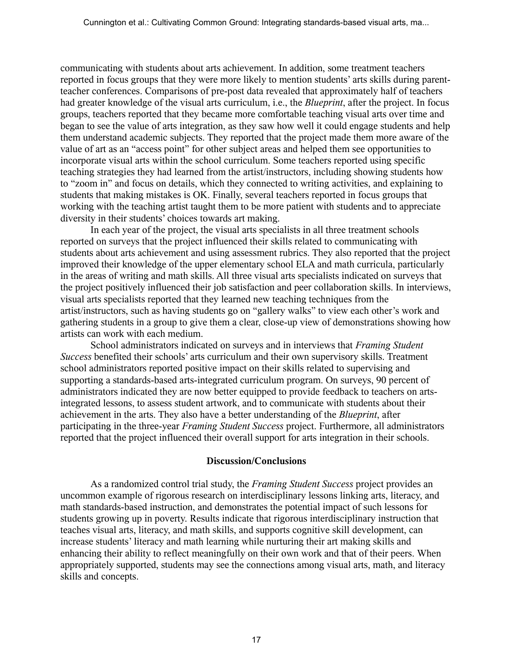communicating with students about arts achievement. In addition, some treatment teachers reported in focus groups that they were more likely to mention students' arts skills during parentteacher conferences. Comparisons of pre-post data revealed that approximately half of teachers had greater knowledge of the visual arts curriculum, i.e., the *Blueprint*, after the project. In focus groups, teachers reported that they became more comfortable teaching visual arts over time and began to see the value of arts integration, as they saw how well it could engage students and help them understand academic subjects. They reported that the project made them more aware of the value of art as an "access point" for other subject areas and helped them see opportunities to incorporate visual arts within the school curriculum. Some teachers reported using specific teaching strategies they had learned from the artist/instructors, including showing students how to "zoom in" and focus on details, which they connected to writing activities, and explaining to students that making mistakes is OK. Finally, several teachers reported in focus groups that working with the teaching artist taught them to be more patient with students and to appreciate diversity in their students' choices towards art making.

In each year of the project, the visual arts specialists in all three treatment schools reported on surveys that the project influenced their skills related to communicating with students about arts achievement and using assessment rubrics. They also reported that the project improved their knowledge of the upper elementary school ELA and math curricula, particularly in the areas of writing and math skills. All three visual arts specialists indicated on surveys that the project positively influenced their job satisfaction and peer collaboration skills. In interviews, visual arts specialists reported that they learned new teaching techniques from the artist/instructors, such as having students go on "gallery walks" to view each other's work and gathering students in a group to give them a clear, close-up view of demonstrations showing how artists can work with each medium.

School administrators indicated on surveys and in interviews that *Framing Student Success* benefited their schools' arts curriculum and their own supervisory skills. Treatment school administrators reported positive impact on their skills related to supervising and supporting a standards-based arts-integrated curriculum program. On surveys, 90 percent of administrators indicated they are now better equipped to provide feedback to teachers on artsintegrated lessons, to assess student artwork, and to communicate with students about their achievement in the arts. They also have a better understanding of the *Blueprint*, after participating in the three-year *Framing Student Success* project. Furthermore, all administrators reported that the project influenced their overall support for arts integration in their schools.

## **Discussion/Conclusions**

As a randomized control trial study, the *Framing Student Success* project provides an uncommon example of rigorous research on interdisciplinary lessons linking arts, literacy, and math standards-based instruction, and demonstrates the potential impact of such lessons for students growing up in poverty. Results indicate that rigorous interdisciplinary instruction that teaches visual arts, literacy, and math skills, and supports cognitive skill development, can increase students' literacy and math learning while nurturing their art making skills and enhancing their ability to reflect meaningfully on their own work and that of their peers. When appropriately supported, students may see the connections among visual arts, math, and literacy skills and concepts.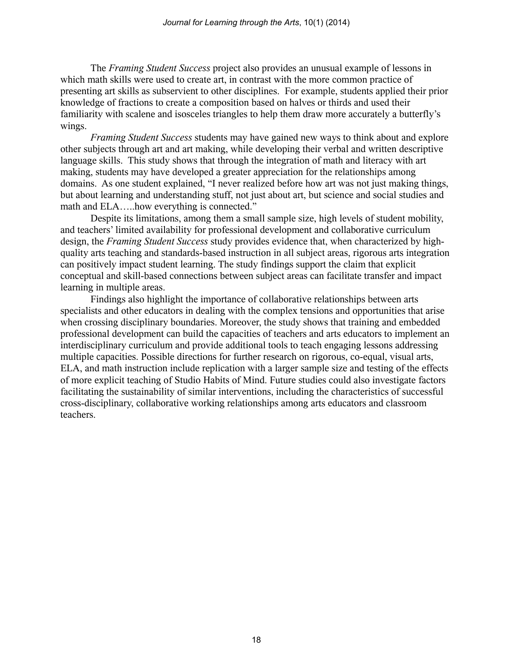The *Framing Student Success* project also provides an unusual example of lessons in which math skills were used to create art, in contrast with the more common practice of presenting art skills as subservient to other disciplines. For example, students applied their prior knowledge of fractions to create a composition based on halves or thirds and used their familiarity with scalene and isosceles triangles to help them draw more accurately a butterfly's wings.

*Framing Student Success* students may have gained new ways to think about and explore other subjects through art and art making, while developing their verbal and written descriptive language skills. This study shows that through the integration of math and literacy with art making, students may have developed a greater appreciation for the relationships among domains. As one student explained, "I never realized before how art was not just making things, but about learning and understanding stuff, not just about art, but science and social studies and math and ELA…..how everything is connected."

Despite its limitations, among them a small sample size, high levels of student mobility, and teachers' limited availability for professional development and collaborative curriculum design, the *Framing Student Success* study provides evidence that, when characterized by highquality arts teaching and standards-based instruction in all subject areas, rigorous arts integration can positively impact student learning. The study findings support the claim that explicit conceptual and skill-based connections between subject areas can facilitate transfer and impact learning in multiple areas.

Findings also highlight the importance of collaborative relationships between arts specialists and other educators in dealing with the complex tensions and opportunities that arise when crossing disciplinary boundaries. Moreover, the study shows that training and embedded professional development can build the capacities of teachers and arts educators to implement an interdisciplinary curriculum and provide additional tools to teach engaging lessons addressing multiple capacities. Possible directions for further research on rigorous, co-equal, visual arts, ELA, and math instruction include replication with a larger sample size and testing of the effects of more explicit teaching of Studio Habits of Mind. Future studies could also investigate factors facilitating the sustainability of similar interventions, including the characteristics of successful cross-disciplinary, collaborative working relationships among arts educators and classroom teachers.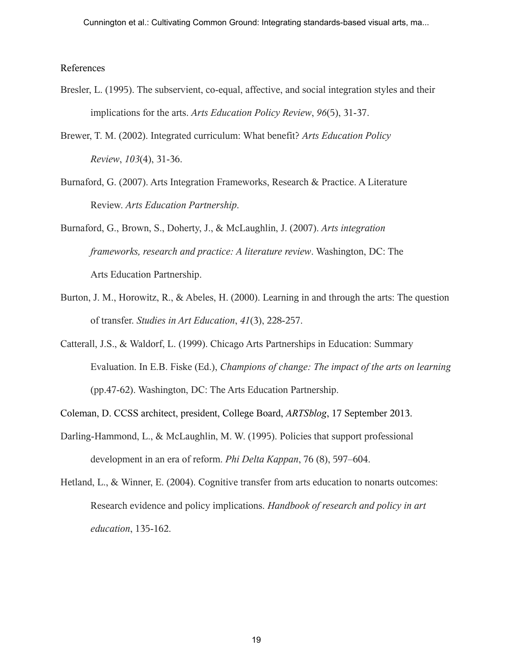#### References

- Bresler, L. (1995). The subservient, co-equal, affective, and social integration styles and their implications for the arts. *Arts Education Policy Review*, *96*(5), 31-37.
- Brewer, T. M. (2002). Integrated curriculum: What benefit? *Arts Education Policy Review*, *103*(4), 31-36.
- Burnaford, G. (2007). Arts Integration Frameworks, Research & Practice. A Literature Review. *Arts Education Partnership*.
- Burnaford, G., Brown, S., Doherty, J., & McLaughlin, J. (2007). *Arts integration frameworks, research and practice: A literature review*. Washington, DC: The Arts Education Partnership.
- Burton, J. M., Horowitz, R., & Abeles, H. (2000). Learning in and through the arts: The question of transfer. *Studies in Art Education*, *41*(3), 228-257.
- Catterall, J.S., & Waldorf, L. (1999). Chicago Arts Partnerships in Education: Summary Evaluation. In E.B. Fiske (Ed.), *Champions of change: The impact of the arts on learning* (pp.47-62). Washington, DC: The Arts Education Partnership.
- Coleman, D. CCSS architect, president, College Board, *ARTSblog*, 17 September 2013.
- Darling-Hammond, L., & McLaughlin, M. W. (1995). Policies that support professional development in an era of reform. *Phi Delta Kappan*, 76 (8), 597–604.
- Hetland, L., & Winner, E. (2004). Cognitive transfer from arts education to nonarts outcomes: Research evidence and policy implications. *Handbook of research and policy in art education*, 135-162.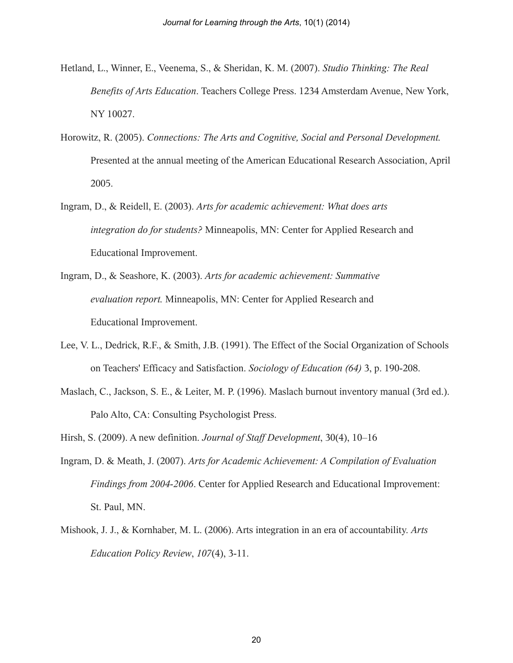- Hetland, L., Winner, E., Veenema, S., & Sheridan, K. M. (2007). *Studio Thinking: The Real Benefits of Arts Education*. Teachers College Press. 1234 Amsterdam Avenue, New York, NY 10027.
- Horowitz, R. (2005). *Connections: The Arts and Cognitive, Social and Personal Development.*  Presented at the annual meeting of the American Educational Research Association, April 2005.
- Ingram, D., & Reidell, E. (2003). *Arts for academic achievement: What does arts integration do for students?* Minneapolis, MN: Center for Applied Research and Educational Improvement.
- Ingram, D., & Seashore, K. (2003). *Arts for academic achievement: Summative evaluation report.* Minneapolis, MN: Center for Applied Research and Educational Improvement.
- Lee, V. L., Dedrick, R.F., & Smith, J.B. (1991). The Effect of the Social Organization of Schools on Teachers' Efficacy and Satisfaction. *Sociology of Education (64)* 3, p. 190-208.
- Maslach, C., Jackson, S. E., & Leiter, M. P. (1996). Maslach burnout inventory manual (3rd ed.). Palo Alto, CA: Consulting Psychologist Press.
- Hirsh, S. (2009). A new definition. *Journal of Staff Development*, 30(4), 10–16
- Ingram, D. & Meath, J. (2007). *Arts for Academic Achievement: A Compilation of Evaluation Findings from 2004-2006*. Center for Applied Research and Educational Improvement: St. Paul, MN.
- Mishook, J. J., & Kornhaber, M. L. (2006). Arts integration in an era of accountability. *Arts Education Policy Review*, *107*(4), 3-11.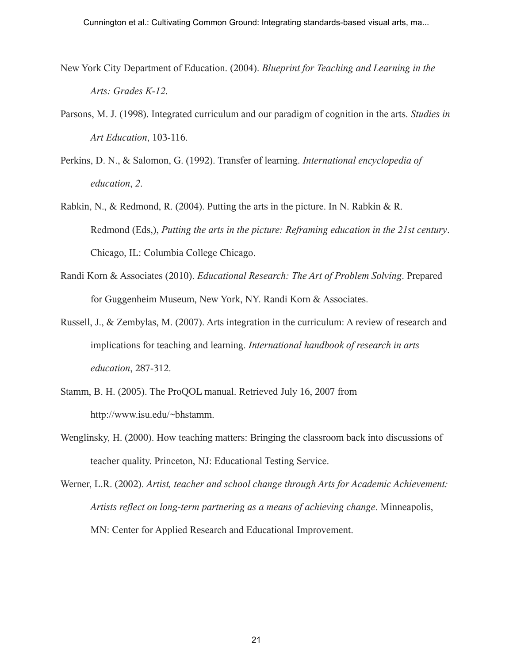- New York City Department of Education. (2004). *Blueprint for Teaching and Learning in the Arts: Grades K-12*.
- Parsons, M. J. (1998). Integrated curriculum and our paradigm of cognition in the arts. *Studies in Art Education*, 103-116.
- Perkins, D. N., & Salomon, G. (1992). Transfer of learning. *International encyclopedia of education*, *2*.
- Rabkin, N., & Redmond, R. (2004). Putting the arts in the picture. In N. Rabkin & R. Redmond (Eds,), *Putting the arts in the picture: Reframing education in the 21st century*. Chicago, IL: Columbia College Chicago.
- Randi Korn & Associates (2010). *Educational Research: The Art of Problem Solving*. Prepared for Guggenheim Museum, New York, NY. Randi Korn & Associates.
- Russell, J., & Zembylas, M. (2007). Arts integration in the curriculum: A review of research and implications for teaching and learning. *International handbook of research in arts education*, 287-312.
- Stamm, B. H. (2005). The ProQOL manual. Retrieved July 16, 2007 from http://www.isu.edu/~bhstamm.
- Wenglinsky, H. (2000). How teaching matters: Bringing the classroom back into discussions of teacher quality. Princeton, NJ: Educational Testing Service.
- Werner, L.R. (2002). *Artist, teacher and school change through Arts for Academic Achievement: Artists reflect on long-term partnering as a means of achieving change*. Minneapolis, MN: Center for Applied Research and Educational Improvement.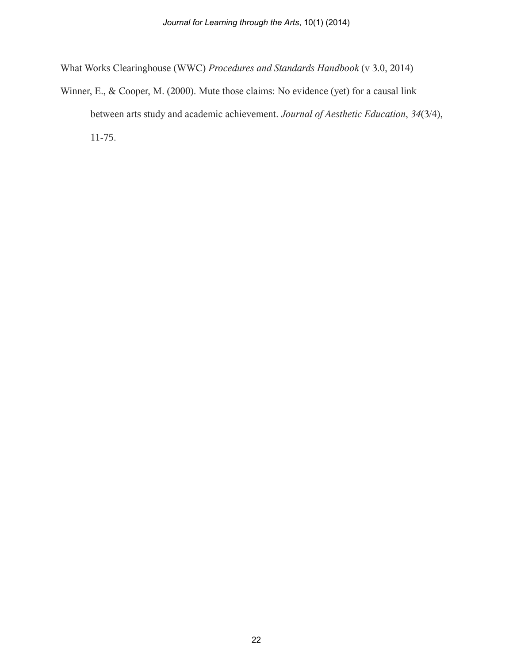What Works Clearinghouse (WWC) *Procedures and Standards Handbook* (v 3.0, 2014)

Winner, E., & Cooper, M. (2000). Mute those claims: No evidence (yet) for a causal link between arts study and academic achievement. *Journal of Aesthetic Education*, *34*(3/4), 11-75.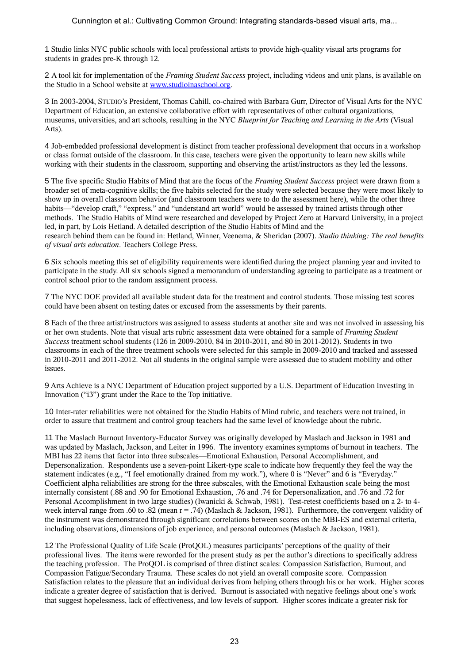1 Studio links NYC public schools with local professional artists to provide high-quality visual arts programs for students in grades pre-K through 12.

2 A tool kit for implementation of the *Framing Student Success* project, including videos and unit plans, is available on the Studio in a School website at www.studioinaschool.org.

3 In 2003-2004, STUDIO's President, Thomas Cahill, co-chaired with Barbara Gurr, Director of Visual Arts for the NYC Department of Education, an extensive collaborative effort with representatives of other cultural organizations, museums, universities, and art schools, resulting in the NYC *Blueprint for Teaching and Learning in the Arts* (Visual Arts).

4 Job-embedded professional development is distinct from teacher professional development that occurs in a workshop or class format outside of the classroom. In this case, teachers were given the opportunity to learn new skills while working with their students in the classroom, supporting and observing the artist/instructors as they led the lessons.

5 The five specific Studio Habits of Mind that are the focus of the *Framing Student Success* project were drawn from a broader set of meta-cognitive skills; the five habits selected for the study were selected because they were most likely to show up in overall classroom behavior (and classroom teachers were to do the assessment here), while the other three habits—"develop craft," "express," and "understand art world" would be assessed by trained artists through other methods. The Studio Habits of Mind were researched and developed by Project Zero at Harvard University, in a project led, in part, by Lois Hetland. A detailed description of the Studio Habits of Mind and the

research behind them can be found in: Hetland, Winner, Veenema, & Sheridan (2007). *Studio thinking: The real benefits of visual arts education*. Teachers College Press.

6 Six schools meeting this set of eligibility requirements were identified during the project planning year and invited to participate in the study. All six schools signed a memorandum of understanding agreeing to participate as a treatment or control school prior to the random assignment process.

7 The NYC DOE provided all available student data for the treatment and control students. Those missing test scores could have been absent on testing dates or excused from the assessments by their parents.

8 Each of the three artist/instructors was assigned to assess students at another site and was not involved in assessing his or her own students. Note that visual arts rubric assessment data were obtained for a sample of *Framing Student Success* treatment school students (126 in 2009-2010, 84 in 2010-2011, and 80 in 2011-2012). Students in two classrooms in each of the three treatment schools were selected for this sample in 2009-2010 and tracked and assessed in 2010-2011 and 2011-2012. Not all students in the original sample were assessed due to student mobility and other issues.

9 Arts Achieve is a NYC Department of Education project supported by a U.S. Department of Education Investing in Innovation ("i3") grant under the Race to the Top initiative.

10 Inter-rater reliabilities were not obtained for the Studio Habits of Mind rubric, and teachers were not trained, in order to assure that treatment and control group teachers had the same level of knowledge about the rubric.

11 The Maslach Burnout Inventory-Educator Survey was originally developed by Maslach and Jackson in 1981 and was updated by Maslach, Jackson, and Leiter in 1996. The inventory examines symptoms of burnout in teachers. The MBI has 22 items that factor into three subscales—Emotional Exhaustion, Personal Accomplishment, and Depersonalization. Respondents use a seven-point Likert-type scale to indicate how frequently they feel the way the statement indicates (e.g., "I feel emotionally drained from my work."), where 0 is "Never" and 6 is "Everyday." Coefficient alpha reliabilities are strong for the three subscales, with the Emotional Exhaustion scale being the most internally consistent (.88 and .90 for Emotional Exhaustion, .76 and .74 for Depersonalization, and .76 and .72 for Personal Accomplishment in two large studies) (Iwanicki & Schwab, 1981). Test-retest coefficients based on a 2- to 4 week interval range from .60 to .82 (mean  $r = .74$ ) (Maslach & Jackson, 1981). Furthermore, the convergent validity of the instrument was demonstrated through significant correlations between scores on the MBI-ES and external criteria, including observations, dimensions of job experience, and personal outcomes (Maslach & Jackson, 1981).

12 The Professional Quality of Life Scale (ProQOL) measures participants' perceptions of the quality of their professional lives. The items were reworded for the present study as per the author's directions to specifically address the teaching profession. The ProQOL is comprised of three distinct scales: Compassion Satisfaction, Burnout, and Compassion Fatigue/Secondary Trauma. These scales do not yield an overall composite score. Compassion Satisfaction relates to the pleasure that an individual derives from helping others through his or her work. Higher scores indicate a greater degree of satisfaction that is derived. Burnout is associated with negative feelings about one's work that suggest hopelessness, lack of effectiveness, and low levels of support. Higher scores indicate a greater risk for